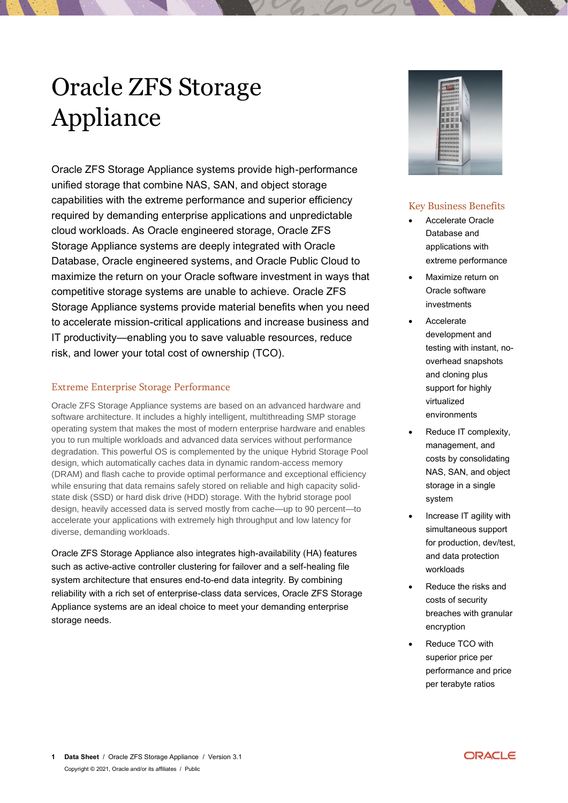# Oracle ZFS Storage Appliance

Oracle ZFS Storage Appliance systems provide high-performance unified storage that combine NAS, SAN, and object storage capabilities with the extreme performance and superior efficiency required by demanding enterprise applications and unpredictable cloud workloads. As Oracle engineered storage, Oracle ZFS Storage Appliance systems are deeply integrated with Oracle Database, Oracle engineered systems, and Oracle Public Cloud to maximize the return on your Oracle software investment in ways that competitive storage systems are unable to achieve. Oracle ZFS Storage Appliance systems provide material benefits when you need to accelerate mission-critical applications and increase business and IT productivity—enabling you to save valuable resources, reduce risk, and lower your total cost of ownership (TCO).

## Extreme Enterprise Storage Performance

Oracle ZFS Storage Appliance systems are based on an advanced hardware and software architecture. It includes a highly intelligent, multithreading SMP storage operating system that makes the most of modern enterprise hardware and enables you to run multiple workloads and advanced data services without performance degradation. This powerful OS is complemented by the unique Hybrid Storage Pool design, which automatically caches data in dynamic random-access memory (DRAM) and flash cache to provide optimal performance and exceptional efficiency while ensuring that data remains safely stored on reliable and high capacity solidstate disk (SSD) or hard disk drive (HDD) storage. With the hybrid storage pool design, heavily accessed data is served mostly from cache—up to 90 percent—to accelerate your applications with extremely high throughput and low latency for diverse, demanding workloads.

Oracle ZFS Storage Appliance also integrates high-availability (HA) features such as active-active controller clustering for failover and a self-healing file system architecture that ensures end-to-end data integrity. By combining reliability with a rich set of enterprise-class data services, Oracle ZFS Storage Appliance systems are an ideal choice to meet your demanding enterprise storage needs.



# Key Business Benefits

- Accelerate Oracle Database and applications with extreme performance
- Maximize return on Oracle software investments
- Accelerate development and testing with instant, nooverhead snapshots and cloning plus support for highly virtualized environments
- Reduce IT complexity, management, and costs by consolidating NAS, SAN, and object storage in a single system
- Increase IT agility with simultaneous support for production, dev/test, and data protection workloads
- Reduce the risks and costs of security breaches with granular encryption
- Reduce TCO with superior price per performance and price per terabyte ratios

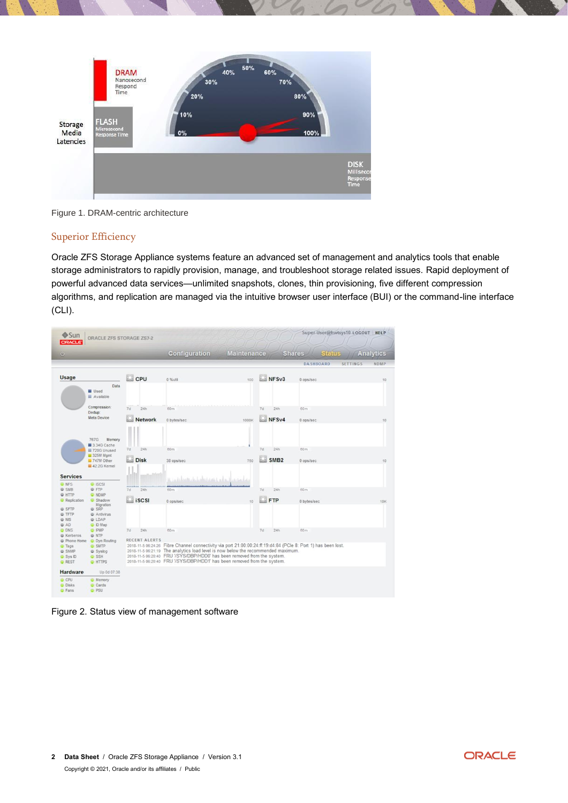

Figure 1. DRAM-centric architecture

#### Superior Efficiency

Oracle ZFS Storage Appliance systems feature an advanced set of management and analytics tools that enable storage administrators to rapidly provision, manage, and troubleshoot storage related issues. Rapid deployment of powerful advanced data services—unlimited snapshots, clones, thin provisioning, five different compression algorithms, and replication are managed via the intuitive browser user interface (BUI) or the command-line interface (CLI).

| <b>◆Sun</b><br><b>ORACLE</b>                                | ORACLE ZFS STORAGE ZS7-2                                                    |                      |                                                                                                                                                                                                                                                                                                                                                             |                    |            |                  | Super-User@hwtsys10 LOGOUT HELP |                 |                  |
|-------------------------------------------------------------|-----------------------------------------------------------------------------|----------------------|-------------------------------------------------------------------------------------------------------------------------------------------------------------------------------------------------------------------------------------------------------------------------------------------------------------------------------------------------------------|--------------------|------------|------------------|---------------------------------|-----------------|------------------|
| $\omega$                                                    |                                                                             |                      | <b>Configuration</b>                                                                                                                                                                                                                                                                                                                                        | <b>Maintenance</b> |            |                  | <b>Status</b><br><b>Shares</b>  |                 | <b>Analytics</b> |
|                                                             |                                                                             |                      |                                                                                                                                                                                                                                                                                                                                                             |                    |            |                  | <b>DASHBOARD</b>                | <b>SETTINGS</b> | NDMP             |
| Usage                                                       |                                                                             | CPU <sup>C</sup>     | $0.96$ util                                                                                                                                                                                                                                                                                                                                                 | 100                |            | NFSv3            | 0 ops/sec                       |                 | 10               |
|                                                             | Data<br><b>Used</b><br><b>III</b> Available                                 |                      |                                                                                                                                                                                                                                                                                                                                                             |                    |            |                  |                                 |                 |                  |
|                                                             | Compression:<br>Dedup:                                                      | 7d<br>24h            | 60m                                                                                                                                                                                                                                                                                                                                                         |                    | 7d         | 24h              | 60m                             |                 |                  |
|                                                             | Meta Device                                                                 | Network              | 0 bytes/sec                                                                                                                                                                                                                                                                                                                                                 | 1000K              |            | NFSv4            | 0 ops/sec                       |                 | 10               |
|                                                             | 767G<br>Memory<br>3.34G Cache<br>720G Unused<br>325M Mgmt                   | 7d<br>24h            | 60m                                                                                                                                                                                                                                                                                                                                                         |                    | 7d         | 24h              | 60m                             |                 |                  |
|                                                             | 747M Other<br>42 2G Kernel                                                  | <b>Disk</b>          | 38 ops/sec                                                                                                                                                                                                                                                                                                                                                  | 750                |            | SMB <sub>2</sub> | 0 ops/sec                       |                 | 10               |
| <b>Services</b><br><b>O</b> NFS                             | <b>O</b> iSCSI                                                              |                      | مساديه بالمالم اختباعا وأماني تسليلهم                                                                                                                                                                                                                                                                                                                       |                    |            |                  |                                 |                 |                  |
| <b>U SMB</b>                                                | <b>U</b> FTP                                                                | 24h<br>7d            | 60m                                                                                                                                                                                                                                                                                                                                                         |                    | 7d         | 24h              | 60m                             |                 |                  |
| <b>O</b> HTTP<br><b>C</b> Replication                       | <b>O</b> NDMP<br>G Shadow                                                   | iscsi                | 0 ops/sec                                                                                                                                                                                                                                                                                                                                                   | 10                 | <b>FTP</b> |                  | 0 bytes/sec                     |                 | <b>10K</b>       |
| <b>O</b> SFTP<br>@ TFTP<br><b>O</b> NIS<br><b>G</b> AD      | Migration<br><b>U</b> SRP<br><b>B</b> Antivirus<br><b>Q</b> LDAP<br>C D Map |                      |                                                                                                                                                                                                                                                                                                                                                             |                    |            |                  |                                 |                 |                  |
| <b>O</b> DNS<br><b>W</b> Kerberos                           | <b>O</b> PMP<br>@ NTP                                                       | 7d<br>24h            | 60m                                                                                                                                                                                                                                                                                                                                                         |                    | 7d         | 24h              | 60m                             |                 |                  |
| <b>C</b> Phone Home                                         | O Dyn Routing                                                               | <b>RECENT ALERTS</b> |                                                                                                                                                                                                                                                                                                                                                             |                    |            |                  |                                 |                 |                  |
| <b>O</b> Tags<br>G SNMP<br><b>O</b> Sys ID<br><b>O</b> REST | <b>C</b> SMTP<br>Syslog<br><b>O</b> SSH<br><b>O</b> HTTPS                   |                      | 2018-11-5 06:24:26 Fibre Channel connectivity via port 21:00:00:24:ff:19:d4:84 (PCle 8: Port 1) has been lost.<br>2018-11-5 06:21:19 The analytics load level is now below the recommended maximum.<br>2018-11-5 06:20:40 FRU '/SYS/DBP/HDD0' has been removed from the system.<br>2018-11-5 06:20:40 FRU '/SYS/DBP/HDD1' has been removed from the system. |                    |            |                  |                                 |                 |                  |
| Hardware                                                    | Up 0d 07:38                                                                 |                      |                                                                                                                                                                                                                                                                                                                                                             |                    |            |                  |                                 |                 |                  |
| <b>O</b> CPU<br><b>O</b> Disks<br><b>C</b> Fans             | <b>O</b> Memory<br>C Cards<br><b>O</b> PSU                                  |                      |                                                                                                                                                                                                                                                                                                                                                             |                    |            |                  |                                 |                 |                  |

Figure 2. Status view of management software

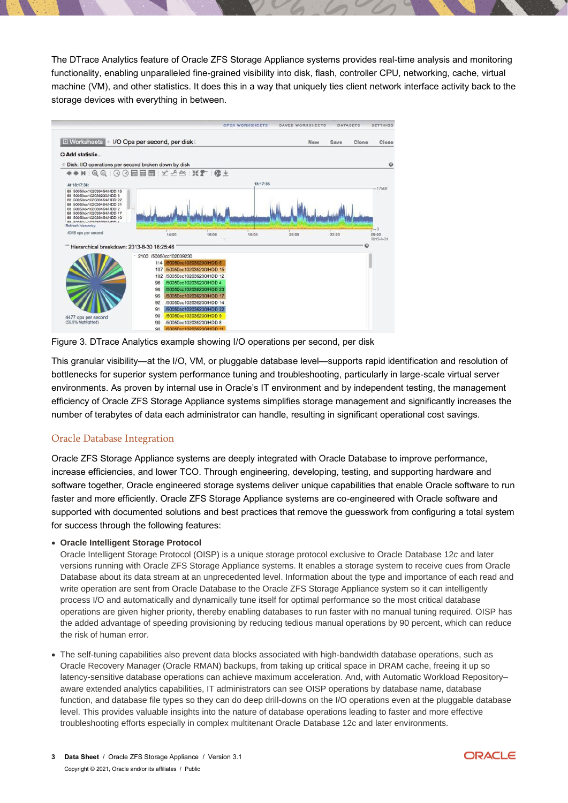The DTrace Analytics feature of Oracle ZFS Storage Appliance systems provides real-time analysis and monitoring functionality, enabling unparalleled fine-grained visibility into disk, flash, controller CPU, networking, cache, virtual machine (VM), and other statistics. It does this in a way that uniquely ties client network interface activity back to the storage devices with everything in between.



Figure 3. DTrace Analytics example showing I/O operations per second, per disk

This granular visibility—at the I/O, VM, or pluggable database level—supports rapid identification and resolution of bottlenecks for superior system performance tuning and troubleshooting, particularly in large-scale virtual server environments. As proven by internal use in Oracle's IT environment and by independent testing, the management efficiency of Oracle ZFS Storage Appliance systems simplifies storage management and significantly increases the number of terabytes of data each administrator can handle, resulting in significant operational cost savings.

#### Oracle Database Integration

Oracle ZFS Storage Appliance systems are deeply integrated with Oracle Database to improve performance, increase efficiencies, and lower TCO. Through engineering, developing, testing, and supporting hardware and software together, Oracle engineered storage systems deliver unique capabilities that enable Oracle software to run faster and more efficiently. Oracle ZFS Storage Appliance systems are co-engineered with Oracle software and supported with documented solutions and best practices that remove the guesswork from configuring a total system for success through the following features:

#### • **Oracle Intelligent Storage Protocol**

Oracle Intelligent Storage Protocol (OISP) is a unique storage protocol exclusive to Oracle Database 12*c* and later versions running with Oracle ZFS Storage Appliance systems. It enables a storage system to receive cues from Oracle Database about its data stream at an unprecedented level. Information about the type and importance of each read and write operation are sent from Oracle Database to the Oracle ZFS Storage Appliance system so it can intelligently process I/O and automatically and dynamically tune itself for optimal performance so the most critical database operations are given higher priority, thereby enabling databases to run faster with no manual tuning required. OISP has the added advantage of speeding provisioning by reducing tedious manual operations by 90 percent, which can reduce the risk of human error.

• The self-tuning capabilities also prevent data blocks associated with high-bandwidth database operations, such as Oracle Recovery Manager (Oracle RMAN) backups, from taking up critical space in DRAM cache, freeing it up so latency-sensitive database operations can achieve maximum acceleration. And, with Automatic Workload Repository– aware extended analytics capabilities, IT administrators can see OISP operations by database name, database function, and database file types so they can do deep drill-downs on the I/O operations even at the pluggable database level. This provides valuable insights into the nature of database operations leading to faster and more effective troubleshooting efforts especially in complex multitenant Oracle Database 12c and later environments.

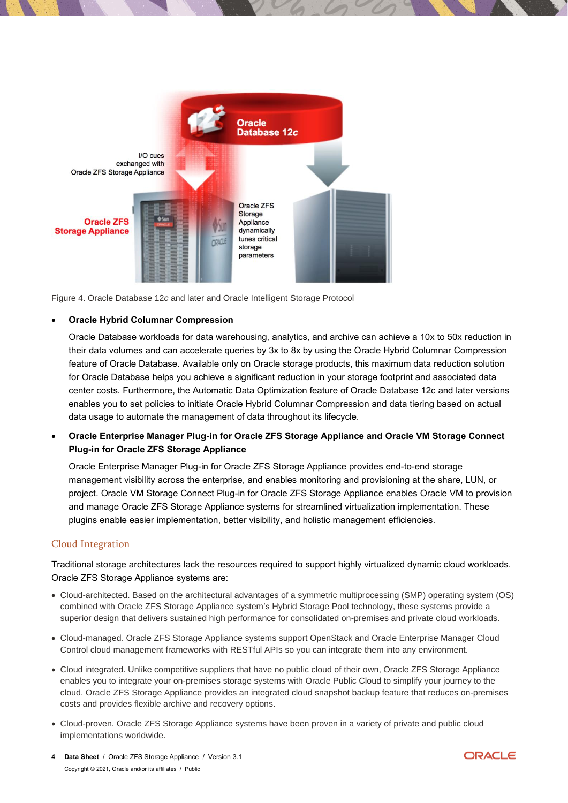

Figure 4. Oracle Database 12*c* and later and Oracle Intelligent Storage Protocol

#### • **Oracle Hybrid Columnar Compression**

Oracle Database workloads for data warehousing, analytics, and archive can achieve a 10x to 50x reduction in their data volumes and can accelerate queries by 3x to 8x by using the Oracle Hybrid Columnar Compression feature of Oracle Database. Available only on Oracle storage products, this maximum data reduction solution for Oracle Database helps you achieve a significant reduction in your storage footprint and associated data center costs. Furthermore, the Automatic Data Optimization feature of Oracle Database 12c and later versions enables you to set policies to initiate Oracle Hybrid Columnar Compression and data tiering based on actual data usage to automate the management of data throughout its lifecycle.

• **Oracle Enterprise Manager Plug-in for Oracle ZFS Storage Appliance and Oracle VM Storage Connect Plug-in for Oracle ZFS Storage Appliance**

Oracle Enterprise Manager Plug-in for Oracle ZFS Storage Appliance provides end-to-end storage management visibility across the enterprise, and enables monitoring and provisioning at the share, LUN, or project. Oracle VM Storage Connect Plug-in for Oracle ZFS Storage Appliance enables Oracle VM to provision and manage Oracle ZFS Storage Appliance systems for streamlined virtualization implementation. These plugins enable easier implementation, better visibility, and holistic management efficiencies.

#### Cloud Integration

Traditional storage architectures lack the resources required to support highly virtualized dynamic cloud workloads. Oracle ZFS Storage Appliance systems are:

- Cloud-architected. Based on the architectural advantages of a symmetric multiprocessing (SMP) operating system (OS) combined with Oracle ZFS Storage Appliance system's Hybrid Storage Pool technology, these systems provide a superior design that delivers sustained high performance for consolidated on-premises and private cloud workloads.
- Cloud-managed. Oracle ZFS Storage Appliance systems support OpenStack and Oracle Enterprise Manager Cloud Control cloud management frameworks with RESTful APIs so you can integrate them into any environment.
- Cloud integrated. Unlike competitive suppliers that have no public cloud of their own, Oracle ZFS Storage Appliance enables you to integrate your on-premises storage systems with Oracle Public Cloud to simplify your journey to the cloud. Oracle ZFS Storage Appliance provides an integrated cloud snapshot backup feature that reduces on-premises costs and provides flexible archive and recovery options.
- Cloud-proven. Oracle ZFS Storage Appliance systems have been proven in a variety of private and public cloud implementations worldwide.
- **4 Data Sheet** / Oracle ZFS Storage Appliance / Version 3.1 Copyright © 2021, Oracle and/or its affiliates / Public

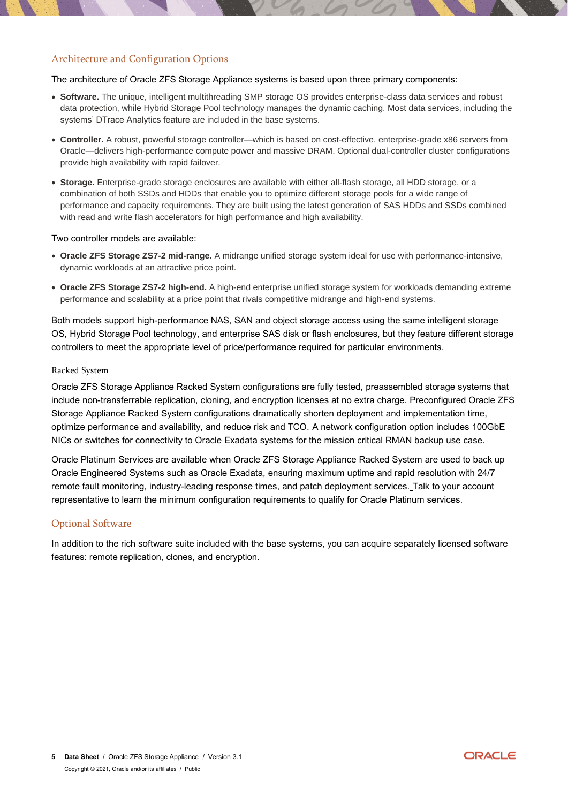#### Architecture and Configuration Options

The architecture of Oracle ZFS Storage Appliance systems is based upon three primary components:

- **Software.** The unique, intelligent multithreading SMP storage OS provides enterprise-class data services and robust data protection, while Hybrid Storage Pool technology manages the dynamic caching. Most data services, including the systems' DTrace Analytics feature are included in the base systems.
- **Controller.** A robust, powerful storage controller—which is based on cost-effective, enterprise-grade x86 servers from Oracle—delivers high-performance compute power and massive DRAM. Optional dual-controller cluster configurations provide high availability with rapid failover.
- **Storage.** Enterprise-grade storage enclosures are available with either all-flash storage, all HDD storage, or a combination of both SSDs and HDDs that enable you to optimize different storage pools for a wide range of performance and capacity requirements. They are built using the latest generation of SAS HDDs and SSDs combined with read and write flash accelerators for high performance and high availability.

#### Two controller models are available:

- **Oracle ZFS Storage ZS7-2 mid-range.** A midrange unified storage system ideal for use with performance-intensive, dynamic workloads at an attractive price point.
- **Oracle ZFS Storage ZS7-2 high-end.** A high-end enterprise unified storage system for workloads demanding extreme performance and scalability at a price point that rivals competitive midrange and high-end systems.

Both models support high-performance NAS, SAN and object storage access using the same intelligent storage OS, Hybrid Storage Pool technology, and enterprise SAS disk or flash enclosures, but they feature different storage controllers to meet the appropriate level of price/performance required for particular environments.

#### Racked System

Oracle ZFS Storage Appliance Racked System configurations are fully tested, preassembled storage systems that include non-transferrable replication, cloning, and encryption licenses at no extra charge. Preconfigured Oracle ZFS Storage Appliance Racked System configurations dramatically shorten deployment and implementation time, optimize performance and availability, and reduce risk and TCO. A network configuration option includes 100GbE NICs or switches for connectivity to Oracle Exadata systems for the mission critical RMAN backup use case.

Oracle Platinum Services are available when Oracle ZFS Storage Appliance Racked System are used to back up Oracle Engineered Systems such as Oracle Exadata, ensuring maximum uptime and rapid resolution with 24/7 remote fault monitoring, industry-leading response times, and patch deployment services. Talk to your account representative to learn the minimum configuration requirements to qualify for Oracle Platinum services.

#### Optional Software

In addition to the rich software suite included with the base systems, you can acquire separately licensed software features: remote replication, clones, and encryption.

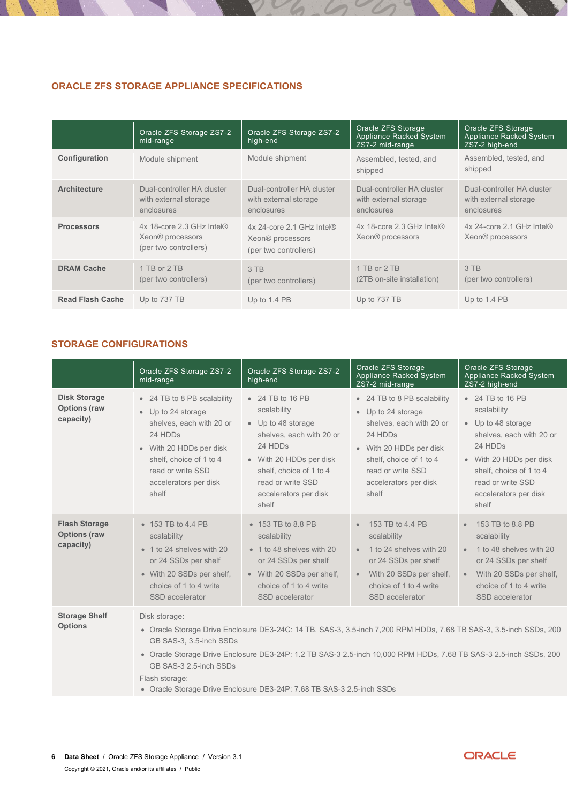## **ORACLE ZFS STORAGE APPLIANCE SPECIFICATIONS**

|                         | Oracle ZFS Storage ZS7-2<br>mid-range                                              | Oracle ZFS Storage ZS7-2<br>high-end                                               | Oracle ZFS Storage<br><b>Appliance Racked System</b><br>ZS7-2 mid-range | Oracle ZFS Storage<br><b>Appliance Racked System</b><br>ZS7-2 high-end |
|-------------------------|------------------------------------------------------------------------------------|------------------------------------------------------------------------------------|-------------------------------------------------------------------------|------------------------------------------------------------------------|
| Configuration           | Module shipment                                                                    | Module shipment                                                                    | Assembled, tested, and<br>shipped                                       | Assembled, tested, and<br>shipped                                      |
| <b>Architecture</b>     | Dual-controller HA cluster<br>with external storage<br>enclosures                  | Dual-controller HA cluster<br>with external storage<br>enclosures                  | Dual-controller HA cluster<br>with external storage<br>enclosures       | Dual-controller HA cluster<br>with external storage<br>enclosures      |
| <b>Processors</b>       | 4x 18-core 2.3 GHz Intel®<br>Xeon <sup>®</sup> processors<br>(per two controllers) | 4x 24-core 2.1 GHz Intel®<br>Xeon <sup>®</sup> processors<br>(per two controllers) | 4x 18-core 2.3 GHz Intel®<br>Xeon <sup>®</sup> processors               | 4x 24-core 2.1 GHz Intel®<br>Xeon <sup>®</sup> processors              |
| <b>DRAM Cache</b>       | 1 TB or 2 TB<br>(per two controllers)                                              | 3 TB<br>(per two controllers)                                                      | 1 TB or 2 TB<br>(2TB on-site installation)                              | 3 TB<br>(per two controllers)                                          |
| <b>Read Flash Cache</b> | Up to 737 TB                                                                       | Up to 1.4 PB                                                                       | Up to 737 TB                                                            | Up to $1.4$ PB                                                         |

# **STORAGE CONFIGURATIONS**

|                                                          | Oracle ZFS Storage ZS7-2<br>mid-range                                                                                                                                                                                                                                                                                                                                                                    | Oracle ZFS Storage ZS7-2<br>high-end                                                                                                                                                                      | Oracle ZFS Storage<br>Appliance Racked System<br>ZS7-2 mid-range                                                                                                                                      | Oracle ZFS Storage<br><b>Appliance Racked System</b><br>ZS7-2 high-end                                                                                                                                    |
|----------------------------------------------------------|----------------------------------------------------------------------------------------------------------------------------------------------------------------------------------------------------------------------------------------------------------------------------------------------------------------------------------------------------------------------------------------------------------|-----------------------------------------------------------------------------------------------------------------------------------------------------------------------------------------------------------|-------------------------------------------------------------------------------------------------------------------------------------------------------------------------------------------------------|-----------------------------------------------------------------------------------------------------------------------------------------------------------------------------------------------------------|
| <b>Disk Storage</b><br><b>Options (raw</b><br>capacity)  | • 24 TB to 8 PB scalability<br>• Up to 24 storage<br>shelves, each with 20 or<br>24 HDDs<br>• With 20 HDDs per disk<br>shelf, choice of 1 to 4<br>read or write SSD<br>accelerators per disk<br>shelf                                                                                                                                                                                                    | • 24 TB to 16 PB<br>scalability<br>• Up to 48 storage<br>shelves, each with 20 or<br>24 HDDs<br>• With 20 HDDs per disk<br>shelf, choice of 1 to 4<br>read or write SSD<br>accelerators per disk<br>shelf | • 24 TB to 8 PB scalability<br>• Up to 24 storage<br>shelves, each with 20 or<br>24 HDDs<br>• With 20 HDDs per disk<br>shelf, choice of 1 to 4<br>read or write SSD<br>accelerators per disk<br>shelf | • 24 TB to 16 PB<br>scalability<br>• Up to 48 storage<br>shelves, each with 20 or<br>24 HDDs<br>• With 20 HDDs per disk<br>shelf, choice of 1 to 4<br>read or write SSD<br>accelerators per disk<br>shelf |
| <b>Flash Storage</b><br><b>Options (raw</b><br>capacity) | $\bullet$ 153 TB to 4.4 PB<br>scalability<br>• 1 to 24 shelves with 20<br>or 24 SSDs per shelf<br>• With 20 SSDs per shelf,<br>choice of 1 to 4 write<br>SSD accelerator                                                                                                                                                                                                                                 | $\bullet$ 153 TB to 8.8 PB<br>scalability<br>• 1 to 48 shelves with 20<br>or 24 SSDs per shelf<br>• With 20 SSDs per shelf,<br>choice of 1 to 4 write<br>SSD accelerator                                  | 153 TB to 4.4 PB<br>scalability<br>1 to 24 shelves with 20<br>$\bullet$<br>or 24 SSDs per shelf<br>With 20 SSDs per shelf,<br>choice of 1 to 4 write<br>SSD accelerator                               | 153 TB to 8.8 PB<br>$\bullet$<br>scalability<br>1 to 48 shelves with 20<br>$\bullet$<br>or 24 SSDs per shelf<br>With 20 SSDs per shelf,<br>$\bullet$<br>choice of 1 to 4 write<br>SSD accelerator         |
| <b>Storage Shelf</b><br><b>Options</b>                   | Disk storage:<br>· Oracle Storage Drive Enclosure DE3-24C: 14 TB, SAS-3, 3.5-inch 7,200 RPM HDDs, 7.68 TB SAS-3, 3.5-inch SSDs, 200<br>GB SAS-3, 3.5-inch SSDs<br>· Oracle Storage Drive Enclosure DE3-24P: 1.2 TB SAS-3 2.5-inch 10,000 RPM HDDs, 7.68 TB SAS-3 2.5-inch SSDs, 200<br>GB SAS-3 2.5-inch SSDs<br>Flash storage:<br>• Oracle Storage Drive Enclosure DE3-24P: 7.68 TB SAS-3 2.5-inch SSDs |                                                                                                                                                                                                           |                                                                                                                                                                                                       |                                                                                                                                                                                                           |

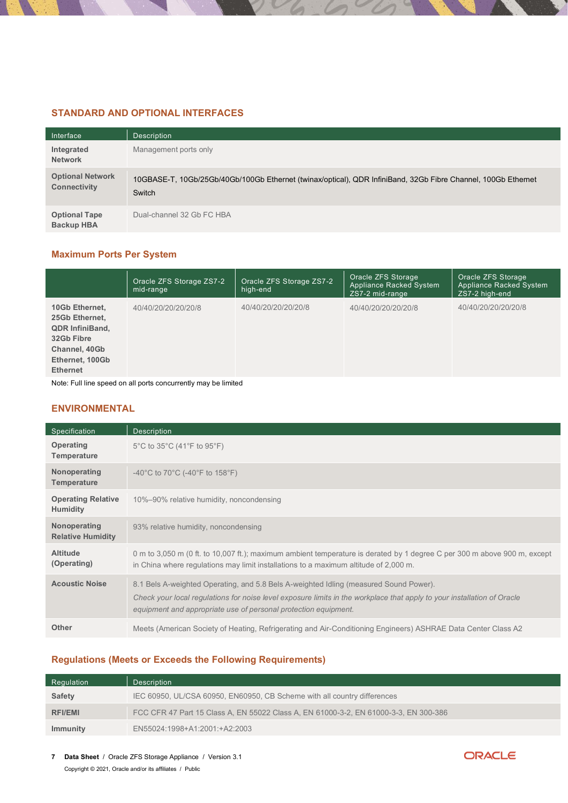## **STANDARD AND OPTIONAL INTERFACES**

| Interface                                      | <b>Description</b>                                                                                                      |
|------------------------------------------------|-------------------------------------------------------------------------------------------------------------------------|
| Integrated<br><b>Network</b>                   | Management ports only                                                                                                   |
| <b>Optional Network</b><br><b>Connectivity</b> | 10GBASE-T, 10Gb/25Gb/40Gb/100Gb Ethernet (twinax/optical), QDR InfiniBand, 32Gb Fibre Channel, 100Gb Ethernet<br>Switch |
| <b>Optional Tape</b><br><b>Backup HBA</b>      | Dual-channel 32 Gb FC HBA                                                                                               |

# **Maximum Ports Per System**

|                                                                                                                                 | Oracle ZFS Storage ZS7-2<br>mid-range | Oracle ZFS Storage ZS7-2<br>high-end | Oracle ZFS Storage<br><b>Appliance Racked System</b><br>ZS7-2 mid-range | Oracle ZFS Storage<br>Appliance Racked System<br>ZS7-2 high-end |
|---------------------------------------------------------------------------------------------------------------------------------|---------------------------------------|--------------------------------------|-------------------------------------------------------------------------|-----------------------------------------------------------------|
| 10Gb Ethernet,<br>25Gb Ethernet,<br><b>QDR InfiniBand,</b><br>32Gb Fibre<br>Channel, 40Gb<br>Ethernet, 100Gb<br><b>Ethernet</b> | 40/40/20/20/20/20/8                   | 40/40/20/20/20/20/8                  | 40/40/20/20/20/20/8                                                     | 40/40/20/20/20/20/8                                             |
| Abata : Full line annoul an all nombe agnosimus dissense la limitad                                                             |                                       |                                      |                                                                         |                                                                 |

Note: Full line speed on all ports concurrently may be limited

## **ENVIRONMENTAL**

| Specification                                | <b>Description</b>                                                                                                                                                                                                                                                                  |
|----------------------------------------------|-------------------------------------------------------------------------------------------------------------------------------------------------------------------------------------------------------------------------------------------------------------------------------------|
| Operating<br>Temperature                     | 5°C to 35°C (41°F to 95°F)                                                                                                                                                                                                                                                          |
| Nonoperating<br>Temperature                  | -40°C to 70°C (-40°F to 158°F)                                                                                                                                                                                                                                                      |
| <b>Operating Relative</b><br><b>Humidity</b> | 10%-90% relative humidity, noncondensing                                                                                                                                                                                                                                            |
| Nonoperating<br><b>Relative Humidity</b>     | 93% relative humidity, noncondensing                                                                                                                                                                                                                                                |
| <b>Altitude</b><br>(Operating)               | 0 m to 3,050 m (0 ft. to 10,007 ft.); maximum ambient temperature is derated by 1 degree C per 300 m above 900 m, except<br>in China where regulations may limit installations to a maximum altitude of 2,000 m.                                                                    |
| <b>Acoustic Noise</b>                        | 8.1 Bels A-weighted Operating, and 5.8 Bels A-weighted Idling (measured Sound Power).<br>Check your local regulations for noise level exposure limits in the workplace that apply to your installation of Oracle<br>equipment and appropriate use of personal protection equipment. |
| <b>Other</b>                                 | Meets (American Society of Heating, Refrigerating and Air-Conditioning Engineers) ASHRAE Data Center Class A2                                                                                                                                                                       |

#### **Regulations (Meets or Exceeds the Following Requirements)**

| Regulation     | <b>Description</b>                                                                   |
|----------------|--------------------------------------------------------------------------------------|
| Safety         | IEC 60950, UL/CSA 60950, EN60950, CB Scheme with all country differences             |
| <b>RFI/EMI</b> | FCC CFR 47 Part 15 Class A, EN 55022 Class A, EN 61000-3-2, EN 61000-3-3, EN 300-386 |
| Immunity       | EN55024:1998+A1:2001:+A2:2003                                                        |

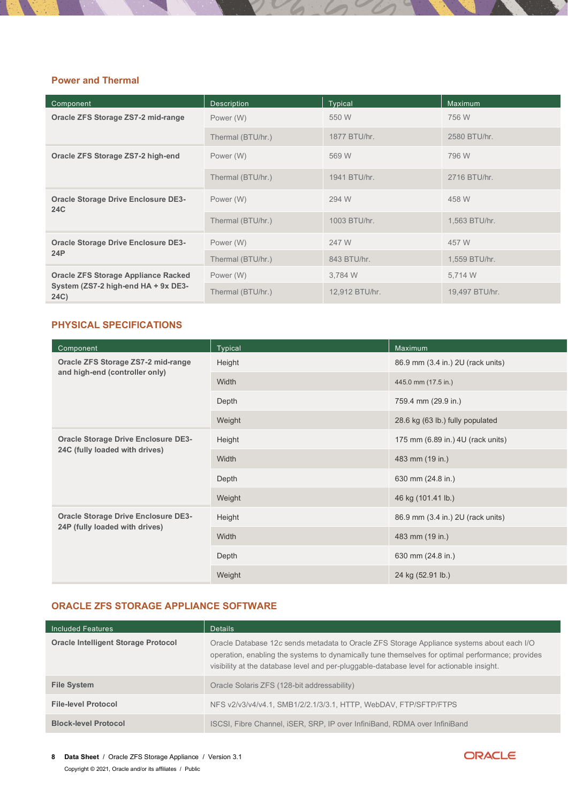## **Power and Thermal**

| Component                                                | <b>Description</b> | <b>Typical</b> | Maximum        |
|----------------------------------------------------------|--------------------|----------------|----------------|
| Oracle ZFS Storage ZS7-2 mid-range                       | Power (W)          | 550 W          | 756 W          |
|                                                          | Thermal (BTU/hr.)  | 1877 BTU/hr.   | 2580 BTU/hr.   |
| Oracle ZFS Storage ZS7-2 high-end                        | Power (W)          | 569 W          | 796 W          |
|                                                          | Thermal (BTU/hr.)  | 1941 BTU/hr.   | 2716 BTU/hr.   |
| <b>Oracle Storage Drive Enclosure DE3-</b><br><b>24C</b> | Power (W)          | 294 W          | 458 W          |
|                                                          | Thermal (BTU/hr.)  | 1003 BTU/hr.   | 1,563 BTU/hr.  |
| <b>Oracle Storage Drive Enclosure DE3-</b>               | Power (W)          | 247 W          | 457 W          |
| 24P                                                      | Thermal (BTU/hr.)  | 843 BTU/hr.    | 1,559 BTU/hr.  |
| <b>Oracle ZFS Storage Appliance Racked</b>               | Power (W)          | 3,784 W        | 5,714 W        |
| System (ZS7-2 high-end HA + 9x DE3-<br>24C)              | Thermal (BTU/hr.)  | 12,912 BTU/hr. | 19,497 BTU/hr. |

#### **PHYSICAL SPECIFICATIONS**

| Component                                  | <b>Typical</b> | Maximum                           |
|--------------------------------------------|----------------|-----------------------------------|
| Oracle ZFS Storage ZS7-2 mid-range         | Height         | 86.9 mm (3.4 in.) 2U (rack units) |
| and high-end (controller only)             | Width          | 445.0 mm (17.5 in.)               |
|                                            | Depth          | 759.4 mm (29.9 in.)               |
|                                            | Weight         | 28.6 kg (63 lb.) fully populated  |
| <b>Oracle Storage Drive Enclosure DE3-</b> | Height         | 175 mm (6.89 in.) 4U (rack units) |
| 24C (fully loaded with drives)             | Width          | 483 mm (19 in.)                   |
|                                            | Depth          | 630 mm (24.8 in.)                 |
|                                            | Weight         | 46 kg (101.41 lb.)                |
| <b>Oracle Storage Drive Enclosure DE3-</b> | Height         | 86.9 mm (3.4 in.) 2U (rack units) |
| 24P (fully loaded with drives)             | Width          | 483 mm (19 in.)                   |
|                                            | Depth          | 630 mm (24.8 in.)                 |
|                                            | Weight         | 24 kg (52.91 lb.)                 |

## **ORACLE ZFS STORAGE APPLIANCE SOFTWARE**

| Included Features                          | <b>Details</b>                                                                                                                                                                                                                                                                             |
|--------------------------------------------|--------------------------------------------------------------------------------------------------------------------------------------------------------------------------------------------------------------------------------------------------------------------------------------------|
| <b>Oracle Intelligent Storage Protocol</b> | Oracle Database 12c sends metadata to Oracle ZFS Storage Appliance systems about each I/O<br>operation, enabling the systems to dynamically tune themselves for optimal performance; provides<br>visibility at the database level and per-pluggable-database level for actionable insight. |
| <b>File System</b>                         | Oracle Solaris ZFS (128-bit addressability)                                                                                                                                                                                                                                                |
| <b>File-level Protocol</b>                 | NFS v2/v3/v4/v4.1, SMB1/2/2.1/3/3.1, HTTP, WebDAV, FTP/SFTP/FTPS                                                                                                                                                                                                                           |
| <b>Block-level Protocol</b>                | ISCSI, Fibre Channel, ISER, SRP, IP over InfiniBand, RDMA over InfiniBand                                                                                                                                                                                                                  |

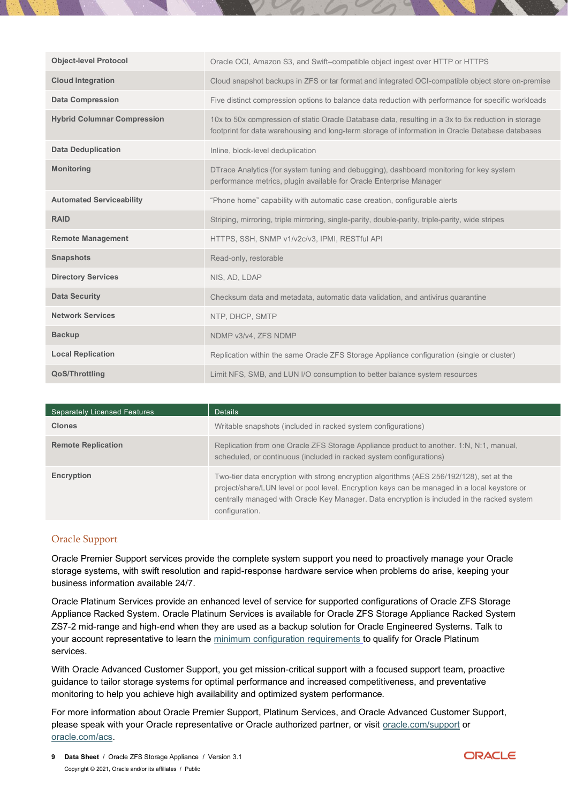| <b>Object-level Protocol</b>       | Oracle OCI, Amazon S3, and Swift-compatible object ingest over HTTP or HTTPS                                                                                                                            |
|------------------------------------|---------------------------------------------------------------------------------------------------------------------------------------------------------------------------------------------------------|
| <b>Cloud Integration</b>           | Cloud snapshot backups in ZFS or tar format and integrated OCI-compatible object store on-premise                                                                                                       |
| <b>Data Compression</b>            | Five distinct compression options to balance data reduction with performance for specific workloads                                                                                                     |
| <b>Hybrid Columnar Compression</b> | 10x to 50x compression of static Oracle Database data, resulting in a 3x to 5x reduction in storage<br>footprint for data warehousing and long-term storage of information in Oracle Database databases |
| <b>Data Deduplication</b>          | Inline, block-level deduplication                                                                                                                                                                       |
| <b>Monitoring</b>                  | DTrace Analytics (for system tuning and debugging), dashboard monitoring for key system<br>performance metrics, plugin available for Oracle Enterprise Manager                                          |
| <b>Automated Serviceability</b>    | "Phone home" capability with automatic case creation, configurable alerts                                                                                                                               |
| <b>RAID</b>                        | Striping, mirroring, triple mirroring, single-parity, double-parity, triple-parity, wide stripes                                                                                                        |
| <b>Remote Management</b>           | HTTPS, SSH, SNMP v1/v2c/v3, IPMI, RESTful API                                                                                                                                                           |
| <b>Snapshots</b>                   | Read-only, restorable                                                                                                                                                                                   |
| <b>Directory Services</b>          | NIS, AD, LDAP                                                                                                                                                                                           |
| <b>Data Security</b>               | Checksum data and metadata, automatic data validation, and antivirus quarantine                                                                                                                         |
| <b>Network Services</b>            | NTP, DHCP, SMTP                                                                                                                                                                                         |
| <b>Backup</b>                      | NDMP v3/v4, ZFS NDMP                                                                                                                                                                                    |
| <b>Local Replication</b>           | Replication within the same Oracle ZFS Storage Appliance configuration (single or cluster)                                                                                                              |
| <b>QoS/Throttling</b>              | Limit NFS, SMB, and LUN I/O consumption to better balance system resources                                                                                                                              |

| <b>Separately Licensed Features</b> | <b>Details</b>                                                                                                                                                                                                                                                                                            |
|-------------------------------------|-----------------------------------------------------------------------------------------------------------------------------------------------------------------------------------------------------------------------------------------------------------------------------------------------------------|
| <b>Clones</b>                       | Writable snapshots (included in racked system configurations)                                                                                                                                                                                                                                             |
| <b>Remote Replication</b>           | Replication from one Oracle ZFS Storage Appliance product to another. 1:N, N:1, manual,<br>scheduled, or continuous (included in racked system configurations)                                                                                                                                            |
| Encryption                          | Two-tier data encryption with strong encryption algorithms (AES 256/192/128), set at the<br>project/share/LUN level or pool level. Encryption keys can be managed in a local keystore or<br>centrally managed with Oracle Key Manager. Data encryption is included in the racked system<br>configuration. |

## Oracle Support

Oracle Premier Support services provide the complete system support you need to proactively manage your Oracle storage systems, with swift resolution and rapid-response hardware service when problems do arise, keeping your business information available 24/7.

Oracle Platinum Services provide an enhanced level of service for supported configurations of Oracle ZFS Storage Appliance Racked System. Oracle Platinum Services is available for Oracle ZFS Storage Appliance Racked System ZS7-2 mid-range and high-end when they are used as a backup solution for Oracle Engineered Systems. Talk to your account representative to learn the [minimum configuration requirements](http://www.oracle.com/us/support/library/certified-platinum-configs-1652888.pdf) to qualify for Oracle Platinum services.

With Oracle Advanced Customer Support, you get mission-critical support with a focused support team, proactive guidance to tailor storage systems for optimal performance and increased competitiveness, and preventative monitoring to help you achieve high availability and optimized system performance.

For more information about Oracle Premier Support, Platinum Services, and Oracle Advanced Customer Support, please speak with your Oracle representative or Oracle authorized partner, or visit [oracle.com/support](https://www.oracle.com/support/index.html) or [oracle.com/acs.](http://www.oracle.com/acs)